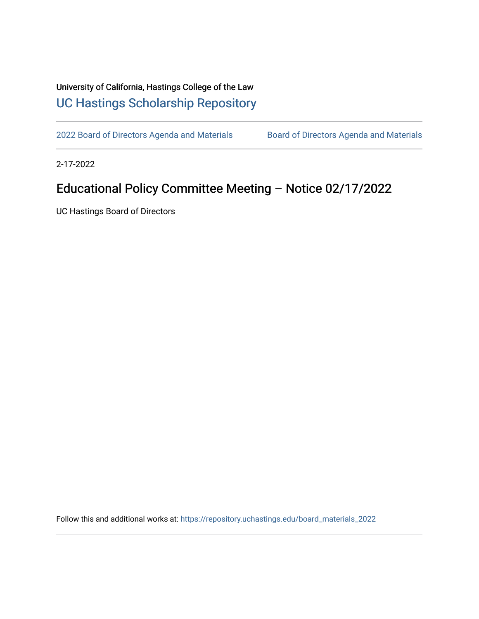## University of California, Hastings College of the Law [UC Hastings Scholarship Repository](https://repository.uchastings.edu/)

[2022 Board of Directors Agenda and Materials](https://repository.uchastings.edu/board_materials_2022) Board of Directors Agenda and Materials

2-17-2022

## Educational Policy Committee Meeting – Notice 02/17/2022

UC Hastings Board of Directors

Follow this and additional works at: [https://repository.uchastings.edu/board\\_materials\\_2022](https://repository.uchastings.edu/board_materials_2022?utm_source=repository.uchastings.edu%2Fboard_materials_2022%2F8&utm_medium=PDF&utm_campaign=PDFCoverPages)